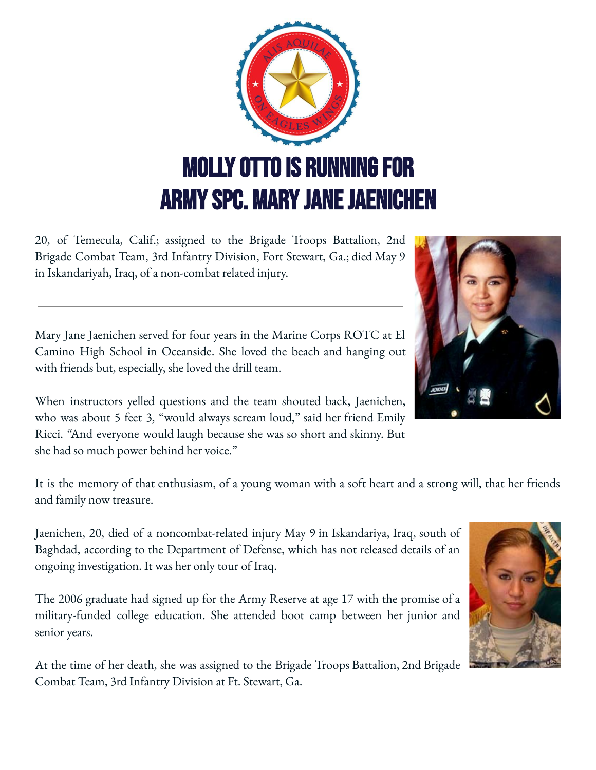

20, of Temecula, Calif.; assigned to the Brigade Troops Battalion, 2nd Brigade Combat Team, 3rd Infantry Division, Fort Stewart, Ga.; died May 9 in Iskandariyah, Iraq, of a non-combat related injury.

Mary Jane Jaenichen served for four years in the Marine Corps ROTC at El Camino High School in Oceanside. She loved the beach and hanging out with friends but, especially, she loved the drill team.

When instructors yelled questions and the team shouted back, Jaenichen, who was about 5 feet 3, "would always scream loud," said her friend Emily Ricci. "And everyone would laugh because she was so short and skinny. But she had so much power behind her voice."

It is the memory of that enthusiasm, of a young woman with a soft heart and a strong will, that her friends and family now treasure.

Jaenichen, 20, died of a noncombat-related injury May 9 in Iskandariya, Iraq, south of Baghdad, according to the Department of Defense, which has not released details of an ongoing investigation. It was her only tour of Iraq.

The 2006 graduate had signed up for the Army Reserve at age 17 with the promise of a military-funded college education. She attended boot camp between her junior and senior years.

At the time of her death, she was assigned to the Brigade Troops Battalion, 2nd Brigade Combat Team, 3rd Infantry Division at Ft. Stewart, Ga.